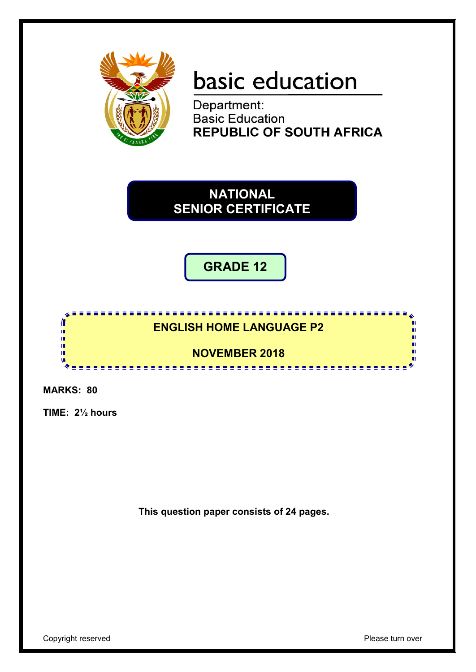

# basic education

Department: **Basic Education REPUBLIC OF SOUTH AFRICA** 

**NATIONAL SENIOR CERTIFICATE**

**GRADE 12**

### **ENGLISH HOME LANGUAGE P2**

<u>...................</u>

<u>.......................</u>

**NOVEMBER 2018**

**MARKS: 80**

ſ ΙĖ,

n.

ú. œ

**TIME: 2½ hours**

**This question paper consists of 24 pages.**

m

n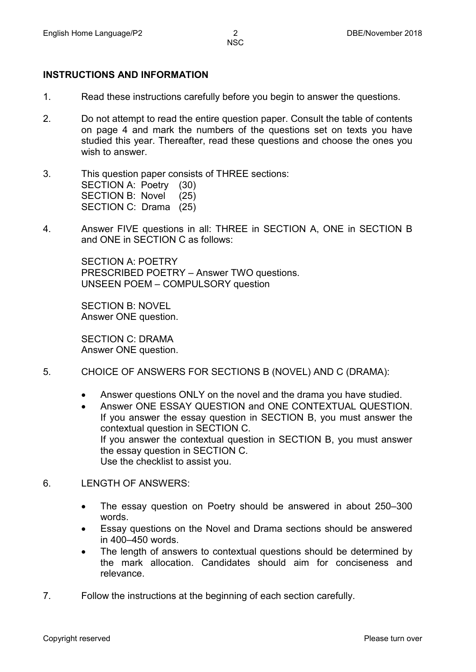#### **INSTRUCTIONS AND INFORMATION**

- 1. Read these instructions carefully before you begin to answer the questions.
- 2. Do not attempt to read the entire question paper. Consult the table of contents on page 4 and mark the numbers of the questions set on texts you have studied this year. Thereafter, read these questions and choose the ones you wish to answer.
- 3. This question paper consists of THREE sections: SECTION A: Poetry (30) SECTION B: Novel (25) SECTION C: Drama (25)
- 4. Answer FIVE questions in all: THREE in SECTION A, ONE in SECTION B and ONE in SECTION C as follows:

SECTION A: POETRY PRESCRIBED POETRY – Answer TWO questions. UNSEEN POEM – COMPULSORY question

SECTION B: NOVEL Answer ONE question.

SECTION C: DRAMA Answer ONE question.

- 5. CHOICE OF ANSWERS FOR SECTIONS B (NOVEL) AND C (DRAMA):
	- Answer questions ONLY on the novel and the drama you have studied.
	- Answer ONE ESSAY QUESTION and ONE CONTEXTUAL QUESTION. If you answer the essay question in SECTION B, you must answer the contextual question in SECTION C. If you answer the contextual question in SECTION B, you must answer the essay question in SECTION C. Use the checklist to assist you.
- 6. LENGTH OF ANSWERS:
	- The essay question on Poetry should be answered in about 250–300 words.
	- Essay questions on the Novel and Drama sections should be answered in 400–450 words.
	- The length of answers to contextual questions should be determined by the mark allocation. Candidates should aim for conciseness and relevance.
- 7. Follow the instructions at the beginning of each section carefully.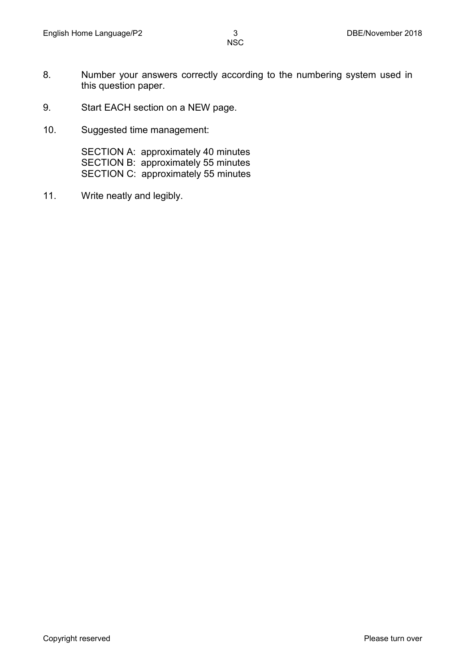- 8. Number your answers correctly according to the numbering system used in this question paper.
- 9. Start EACH section on a NEW page.
- 10. Suggested time management:

SECTION A: approximately 40 minutes SECTION B: approximately 55 minutes SECTION C: approximately 55 minutes

11. Write neatly and legibly.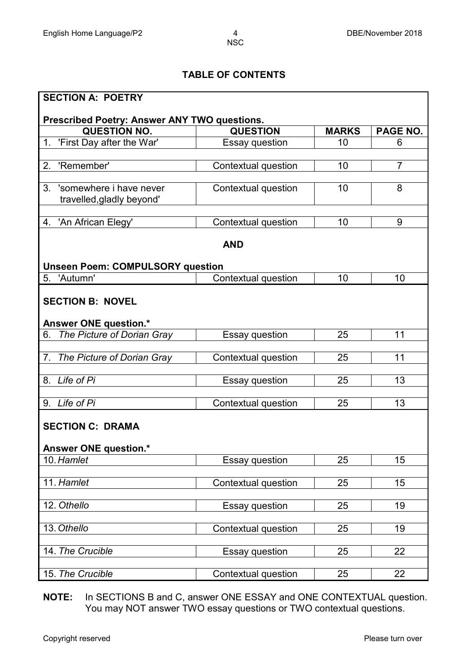### **TABLE OF CONTENTS**

| <b>SECTION A: POETRY</b>                                   |                     |              |                 |
|------------------------------------------------------------|---------------------|--------------|-----------------|
| Prescribed Poetry: Answer ANY TWO questions.               |                     |              |                 |
| <b>QUESTION NO.</b>                                        | <b>QUESTION</b>     | <b>MARKS</b> | <b>PAGE NO.</b> |
| 'First Day after the War'<br>1 <sub>1</sub>                | Essay question      | 10           | 6               |
|                                                            |                     |              |                 |
| 'Remember'<br>2.                                           | Contextual question | 10           | $\overline{7}$  |
|                                                            |                     |              |                 |
| 'somewhere i have never<br>3.<br>travelled, gladly beyond' | Contextual question | 10           | 8               |
|                                                            |                     |              |                 |
| 4. 'An African Elegy'                                      | Contextual question | 10           | 9               |
|                                                            |                     |              |                 |
|                                                            | <b>AND</b>          |              |                 |
|                                                            |                     |              |                 |
| <b>Unseen Poem: COMPULSORY question</b><br>5. 'Autumn'     | Contextual question | 10           | 10              |
|                                                            |                     |              |                 |
| <b>SECTION B: NOVEL</b>                                    |                     |              |                 |
|                                                            |                     |              |                 |
| Answer ONE question.*                                      |                     |              |                 |
| The Picture of Dorian Gray<br>6.                           | Essay question      | 25           | 11              |
|                                                            |                     |              |                 |
| The Picture of Dorian Gray<br>7.                           | Contextual question | 25           | 11              |
|                                                            |                     |              |                 |
| 8. Life of Pi                                              | Essay question      | 25           | 13              |
| 9. Life of Pi                                              |                     | 25           | 13              |
|                                                            | Contextual question |              |                 |
| <b>SECTION C: DRAMA</b>                                    |                     |              |                 |
|                                                            |                     |              |                 |
| Answer ONE question.*                                      |                     |              |                 |
| 10. Hamlet                                                 | Essay question      | 25           | 15              |
|                                                            |                     |              |                 |
| 11. Hamlet                                                 | Contextual question | 25           | 15              |
|                                                            |                     |              |                 |
| 12. Othello                                                | Essay question      | 25           | 19              |
| 13. Othello                                                |                     |              |                 |
|                                                            | Contextual question | 25           | 19              |
| 14. The Crucible                                           | Essay question      | 25           | 22              |
|                                                            |                     |              |                 |
| 15. The Crucible                                           | Contextual question | 25           | 22              |
|                                                            |                     |              |                 |

**NOTE:** In SECTIONS B and C, answer ONE ESSAY and ONE CONTEXTUAL question. You may NOT answer TWO essay questions or TWO contextual questions.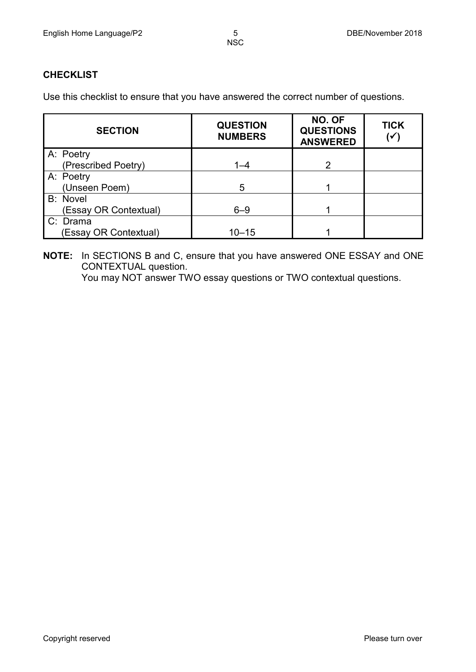#### **CHECKLIST**

Use this checklist to ensure that you have answered the correct number of questions.

| <b>SECTION</b>        | <b>QUESTION</b><br><b>NUMBERS</b> | NO. OF<br><b>QUESTIONS</b><br><b>ANSWERED</b> | <b>TICK</b><br>(√ |
|-----------------------|-----------------------------------|-----------------------------------------------|-------------------|
| A: Poetry             |                                   |                                               |                   |
| (Prescribed Poetry)   | $1 - 4$                           | 2                                             |                   |
| A: Poetry             |                                   |                                               |                   |
| (Unseen Poem)         | 5                                 |                                               |                   |
| <b>B:</b> Novel       |                                   |                                               |                   |
| (Essay OR Contextual) | $6 - 9$                           |                                               |                   |
| C: Drama              |                                   |                                               |                   |
| (Essay OR Contextual) | $10 - 15$                         |                                               |                   |

**NOTE:** In SECTIONS B and C, ensure that you have answered ONE ESSAY and ONE CONTEXTUAL question.

You may NOT answer TWO essay questions or TWO contextual questions.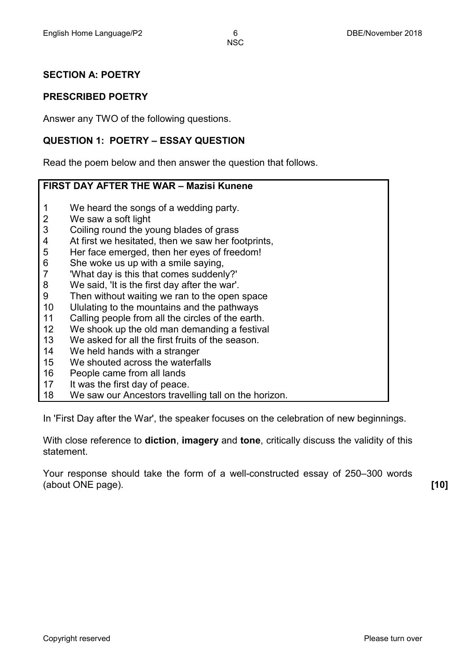#### **SECTION A: POETRY**

#### **PRESCRIBED POETRY**

Answer any TWO of the following questions.

#### **QUESTION 1: POETRY – ESSAY QUESTION**

Read the poem below and then answer the question that follows.

#### **FIRST DAY AFTER THE WAR – Mazisi Kunene**

- 1 We heard the songs of a wedding party.
- 2 We saw a soft light
- 3 Coiling round the young blades of grass
- 4 At first we hesitated, then we saw her footprints,
- 5 Her face emerged, then her eyes of freedom!
- 6 She woke us up with a smile saying,
- 7 'What day is this that comes suddenly?'
- 8 We said, 'It is the first day after the war'.
- $\mathbf{Q}$ Then without waiting we ran to the open space
- 10 Ululating to the mountains and the pathways
- 11 Calling people from all the circles of the earth.
- 12 We shook up the old man demanding a festival
- 13 We asked for all the first fruits of the season.
- 14 We held hands with a stranger
- 15 We shouted across the waterfalls
- 16 People came from all lands
- 17 It was the first day of peace.
- 18 We saw our Ancestors travelling tall on the horizon.

In 'First Day after the War', the speaker focuses on the celebration of new beginnings.

With close reference to **diction**, **imagery** and **tone**, critically discuss the validity of this statement.

Your response should take the form of a well-constructed essay of 250–300 words (about ONE page). **[10]**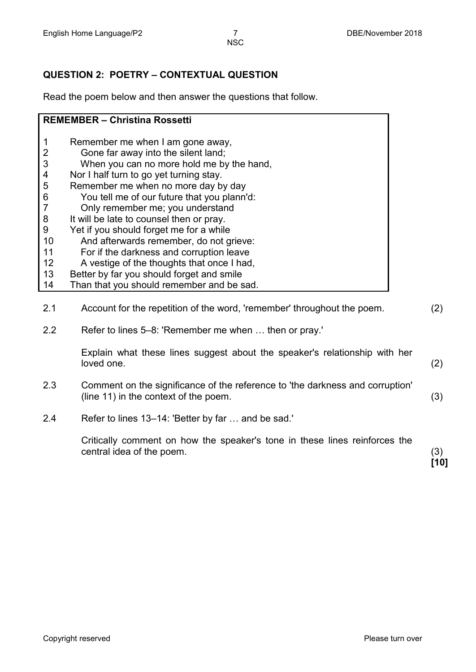#### **QUESTION 2: POETRY – CONTEXTUAL QUESTION**

Read the poem below and then answer the questions that follow.

|                | <b>REMEMBER - Christina Rossetti</b>                                    |                   |
|----------------|-------------------------------------------------------------------------|-------------------|
|                |                                                                         |                   |
| 1              | Remember me when I am gone away,                                        |                   |
| 2              | Gone far away into the silent land;                                     |                   |
| 3              | When you can no more hold me by the hand,                               |                   |
| 4              | Nor I half turn to go yet turning stay.                                 |                   |
| 5              | Remember me when no more day by day                                     |                   |
| 6              | You tell me of our future that you plann'd:                             |                   |
| $\overline{7}$ | Only remember me; you understand                                        |                   |
| 8              | It will be late to counsel then or pray.                                |                   |
| 9              | Yet if you should forget me for a while                                 |                   |
| 10             | And afterwards remember, do not grieve:                                 |                   |
| 11             | For if the darkness and corruption leave                                |                   |
| 12             | A vestige of the thoughts that once I had,                              |                   |
| 13             | Better by far you should forget and smile                               |                   |
| 14             | Than that you should remember and be sad.                               |                   |
|                |                                                                         |                   |
| 2.1            | Account for the repetition of the word, 'remember' throughout the poem. | $\left( 2\right)$ |
|                |                                                                         |                   |

2.2 Refer to lines 5–8: 'Remember me when … then or pray.'

Explain what these lines suggest about the speaker's relationship with her loved one. (2)

- 2.3 Comment on the significance of the reference to 'the darkness and corruption' (line 11) in the context of the poem.  $(3)$
- 2.4 Refer to lines 13–14: 'Better by far … and be sad.'

Critically comment on how the speaker's tone in these lines reinforces the central idea of the poem. (3)

**[10]**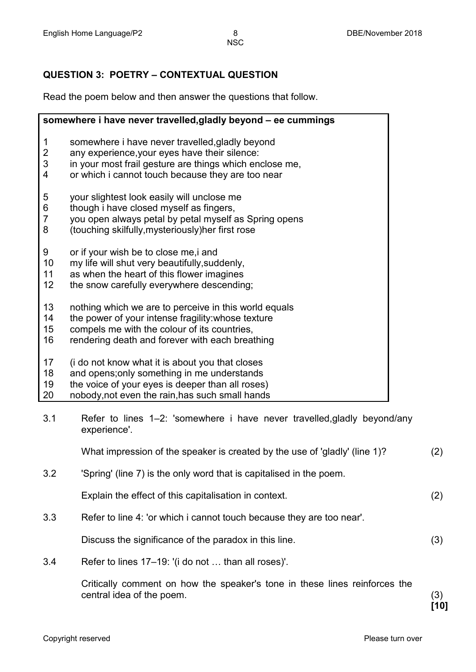#### **QUESTION 3: POETRY – CONTEXTUAL QUESTION**

Read the poem below and then answer the questions that follow.

|                | somewhere i have never travelled, gladly beyond - ee cummings |
|----------------|---------------------------------------------------------------|
| 1              | somewhere i have never travelled, gladly beyond               |
| $\overline{2}$ | any experience, your eyes have their silence:                 |
| 3              | in your most frail gesture are things which enclose me,       |
| $\overline{4}$ | or which i cannot touch because they are too near             |
| 5              | your slightest look easily will unclose me                    |
| 6              | though i have closed myself as fingers,                       |
| $\overline{7}$ | you open always petal by petal myself as Spring opens         |
| 8              | (touching skilfully, mysteriously) her first rose             |
| 9              | or if your wish be to close me, i and                         |
| 10             | my life will shut very beautifully, suddenly,                 |
| 11             | as when the heart of this flower imagines                     |
| 12             | the snow carefully everywhere descending;                     |
| 13             | nothing which we are to perceive in this world equals         |
| 14             | the power of your intense fragility: whose texture            |
| 15             | compels me with the colour of its countries,                  |
| 16             | rendering death and forever with each breathing               |
| 17             | (i do not know what it is about you that closes               |
| 18             | and opens; only something in me understands                   |
| 19             | the voice of your eyes is deeper than all roses)              |
| 20             | nobody, not even the rain, has such small hands               |

3.1 Refer to lines 1–2: 'somewhere i have never travelled,gladly beyond/any experience'.

What impression of the speaker is created by the use of 'gladly' (line 1)? (2) 3.2 'Spring' (line 7) is the only word that is capitalised in the poem. Explain the effect of this capitalisation in context. (2) 3.3 Refer to line 4: 'or which i cannot touch because they are too near'. Discuss the significance of the paradox in this line. (3)

3.4 Refer to lines 17–19: '(i do not … than all roses)'.

Critically comment on how the speaker's tone in these lines reinforces the central idea of the poem. (3)

**[10]**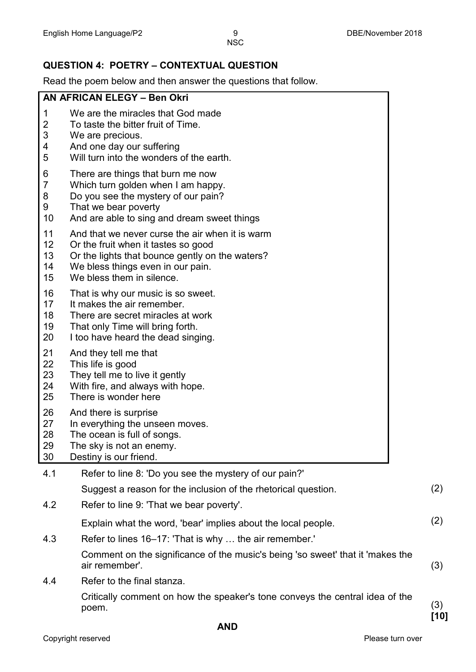#### **QUESTION 4: POETRY – CONTEXTUAL QUESTION**

Read the poem below and then answer the questions that follow.

|                                     | <b>INCAY THE POCHT DEIGHT AND THEIR AND MET THE GACONOHS THAT IOHOW.</b>                                                                                                                                    |             |
|-------------------------------------|-------------------------------------------------------------------------------------------------------------------------------------------------------------------------------------------------------------|-------------|
|                                     | AN AFRICAN ELEGY - Ben Okri                                                                                                                                                                                 |             |
| 1<br>2<br>3<br>4<br>5               | We are the miracles that God made<br>To taste the bitter fruit of Time.<br>We are precious.<br>And one day our suffering<br>Will turn into the wonders of the earth.                                        |             |
| 6<br>$\overline{7}$<br>8<br>9<br>10 | There are things that burn me now<br>Which turn golden when I am happy.<br>Do you see the mystery of our pain?<br>That we bear poverty<br>And are able to sing and dream sweet things                       |             |
| 11<br>12<br>13<br>14<br>15          | And that we never curse the air when it is warm<br>Or the fruit when it tastes so good<br>Or the lights that bounce gently on the waters?<br>We bless things even in our pain.<br>We bless them in silence. |             |
| 16<br>17<br>18<br>19<br>20          | That is why our music is so sweet.<br>It makes the air remember.<br>There are secret miracles at work<br>That only Time will bring forth.<br>I too have heard the dead singing.                             |             |
| 21<br>22<br>23<br>24<br>25          | And they tell me that<br>This life is good<br>They tell me to live it gently<br>With fire, and always with hope.<br>There is wonder here                                                                    |             |
| 26<br>27<br>28<br>29<br>30          | And there is surprise<br>In everything the unseen moves.<br>The ocean is full of songs.<br>The sky is not an enemy.<br>Destiny is our friend.                                                               |             |
| 4.1                                 | Refer to line 8: 'Do you see the mystery of our pain?'                                                                                                                                                      |             |
|                                     | Suggest a reason for the inclusion of the rhetorical question.                                                                                                                                              | (2)         |
| 4.2                                 | Refer to line 9: 'That we bear poverty'.                                                                                                                                                                    |             |
|                                     | Explain what the word, 'bear' implies about the local people.                                                                                                                                               | (2)         |
| 4.3                                 | Refer to lines 16–17: 'That is why  the air remember.'                                                                                                                                                      |             |
|                                     | Comment on the significance of the music's being 'so sweet' that it 'makes the<br>air remember'.                                                                                                            | (3)         |
| 4.4                                 | Refer to the final stanza.                                                                                                                                                                                  |             |
|                                     | Critically comment on how the speaker's tone conveys the central idea of the<br>poem.                                                                                                                       | (3)<br>[10] |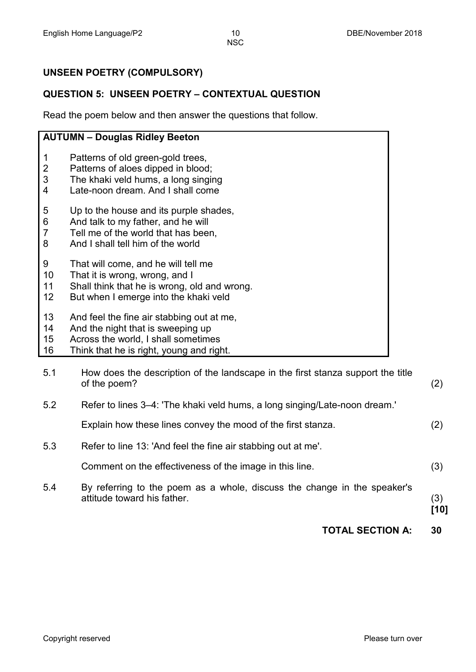#### **UNSEEN POETRY (COMPULSORY)**

#### **QUESTION 5: UNSEEN POETRY – CONTEXTUAL QUESTION**

Read the poem below and then answer the questions that follow.

## **AUTUMN – Douglas Ridley Beeton**

- 1 Patterns of old green-gold trees,
- 2 Patterns of aloes dipped in blood;
- 3 The khaki veld hums, a long singing
- 4 Late-noon dream. And I shall come
- 5 Up to the house and its purple shades,
- 6 And talk to my father, and he will
- 7 Tell me of the world that has been,
- 8 And I shall tell him of the world
- 9 That will come, and he will tell me
- 10 That it is wrong, wrong, and I
- 11 Shall think that he is wrong, old and wrong.
- 12 But when I emerge into the khaki veld
- 13 And feel the fine air stabbing out at me,
- 14 And the night that is sweeping up
- 15 Across the world, I shall sometimes
- 16 Think that he is right, young and right.

|     | <b>TOTAL SECTION A:</b>                                                                                 | 30          |
|-----|---------------------------------------------------------------------------------------------------------|-------------|
| 5.4 | By referring to the poem as a whole, discuss the change in the speaker's<br>attitude toward his father. | (3)<br>[10] |
|     |                                                                                                         |             |
|     | Comment on the effectiveness of the image in this line.                                                 | (3)         |
| 5.3 | Refer to line 13: 'And feel the fine air stabbing out at me'.                                           |             |
|     | Explain how these lines convey the mood of the first stanza.                                            | (2)         |
| 5.2 | Refer to lines 3-4: 'The khaki veld hums, a long singing/Late-noon dream.'                              |             |
| 5.1 | How does the description of the landscape in the first stanza support the title<br>of the poem?         | (2)         |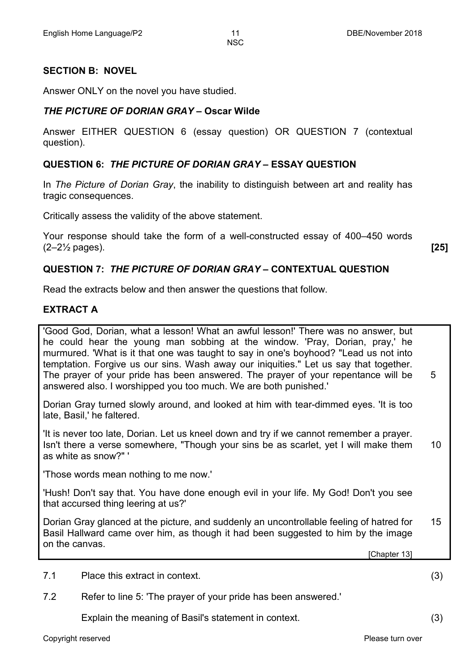#### **SECTION B: NOVEL**

Answer ONLY on the novel you have studied.

#### *THE PICTURE OF DORIAN GRAY* **– Oscar Wilde**

Answer EITHER QUESTION 6 (essay question) OR QUESTION 7 (contextual question).

#### **QUESTION 6:** *THE PICTURE OF DORIAN GRAY* **– ESSAY QUESTION**

In *The Picture of Dorian Gray*, the inability to distinguish between art and reality has tragic consequences.

Critically assess the validity of the above statement.

Your response should take the form of a well-constructed essay of 400–450 words (2–2½ pages). **[25]**

#### **QUESTION 7:** *THE PICTURE OF DORIAN GRAY* **– CONTEXTUAL QUESTION**

Read the extracts below and then answer the questions that follow.

#### **EXTRACT A**

'Good God, Dorian, what a lesson! What an awful lesson!' There was no answer, but he could hear the young man sobbing at the window. 'Pray, Dorian, pray,' he murmured. 'What is it that one was taught to say in one's boyhood? "Lead us not into temptation. Forgive us our sins. Wash away our iniquities." Let us say that together. The prayer of your pride has been answered. The prayer of your repentance will be answered also. I worshipped you too much. We are both punished.' 5

Dorian Gray turned slowly around, and looked at him with tear-dimmed eyes. 'It is too late, Basil,' he faltered.

'It is never too late, Dorian. Let us kneel down and try if we cannot remember a prayer. Isn't there a verse somewhere, "Though your sins be as scarlet, yet I will make them as white as snow?" ' 10

'Those words mean nothing to me now.'

'Hush! Don't say that. You have done enough evil in your life. My God! Don't you see that accursed thing leering at us?'

Dorian Gray glanced at the picture, and suddenly an uncontrollable feeling of hatred for Basil Hallward came over him, as though it had been suggested to him by the image on the canvas. 15

[Chapter 13]

7.1 Place this extract in context. (3)

7.2 Refer to line 5: 'The prayer of your pride has been answered.'

Explain the meaning of Basil's statement in context. (3)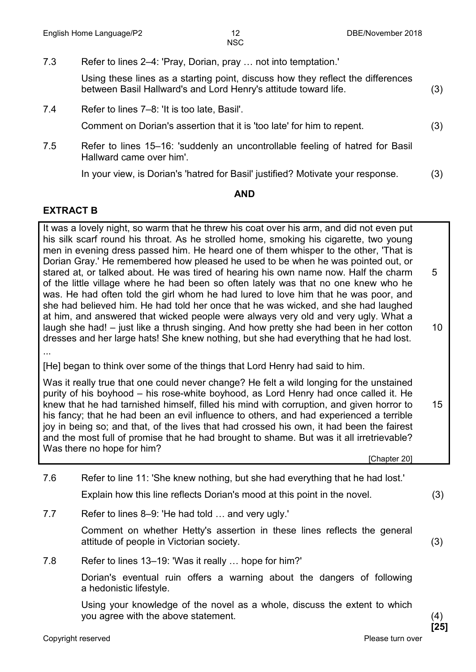- 7.3 Refer to lines 2–4: 'Pray, Dorian, pray … not into temptation.' Using these lines as a starting point, discuss how they reflect the differences between Basil Hallward's and Lord Henry's attitude toward life. (3)
- 7.4 Refer to lines 7–8: 'It is too late, Basil'.

Comment on Dorian's assertion that it is 'too late' for him to repent. (3)

7.5 Refer to lines 15–16: 'suddenly an uncontrollable feeling of hatred for Basil Hallward came over him'.

In your view, is Dorian's 'hatred for Basil' justified? Motivate your response. (3)

#### **AND**

#### **EXTRACT B**

It was a lovely night, so warm that he threw his coat over his arm, and did not even put his silk scarf round his throat. As he strolled home, smoking his cigarette, two young men in evening dress passed him. He heard one of them whisper to the other, 'That is Dorian Gray.' He remembered how pleased he used to be when he was pointed out, or stared at, or talked about. He was tired of hearing his own name now. Half the charm of the little village where he had been so often lately was that no one knew who he was. He had often told the girl whom he had lured to love him that he was poor, and she had believed him. He had told her once that he was wicked, and she had laughed at him, and answered that wicked people were always very old and very ugly. What a laugh she had! – just like a thrush singing. And how pretty she had been in her cotton dresses and her large hats! She knew nothing, but she had everything that he had lost. 5 10

...

[He] began to think over some of the things that Lord Henry had said to him.

Was it really true that one could never change? He felt a wild longing for the unstained purity of his boyhood – his rose-white boyhood, as Lord Henry had once called it. He knew that he had tarnished himself, filled his mind with corruption, and given horror to his fancy; that he had been an evil influence to others, and had experienced a terrible joy in being so; and that, of the lives that had crossed his own, it had been the fairest and the most full of promise that he had brought to shame. But was it all irretrievable? Was there no hope for him? 15

[Chapter 20]

- 7.6 Refer to line 11: 'She knew nothing, but she had everything that he had lost.' Explain how this line reflects Dorian's mood at this point in the novel. (3)
- 7.7 Refer to lines 8–9: 'He had told … and very ugly.'

Comment on whether Hetty's assertion in these lines reflects the general attitude of people in Victorian society. (3)

7.8 Refer to lines 13–19: 'Was it really … hope for him?'

Dorian's eventual ruin offers a warning about the dangers of following a hedonistic lifestyle.

Using your knowledge of the novel as a whole, discuss the extent to which you agree with the above statement. (4)

Copyright reserved **Please turn over Please turn over Please turn over Please turn over** 

**[25]**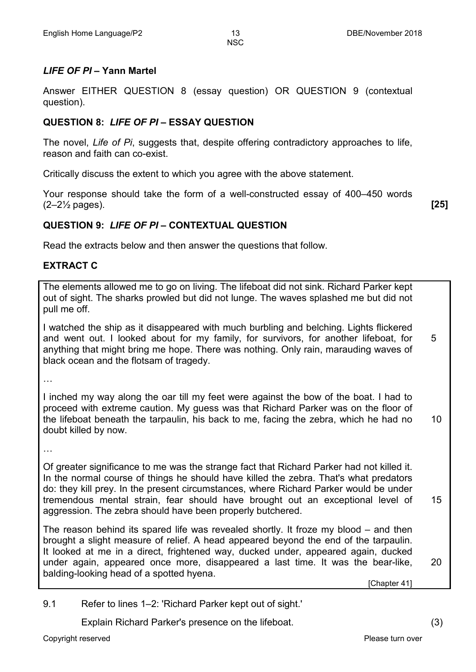#### *LIFE OF PI* **– Yann Martel**

Answer EITHER QUESTION 8 (essay question) OR QUESTION 9 (contextual question).

#### **QUESTION 8:** *LIFE OF PI* **– ESSAY QUESTION**

The novel, *Life of Pi*, suggests that, despite offering contradictory approaches to life, reason and faith can co-exist.

Critically discuss the extent to which you agree with the above statement.

Your response should take the form of a well-constructed essay of 400–450 words (2–2½ pages). **[25]**

#### **QUESTION 9:** *LIFE OF PI* **– CONTEXTUAL QUESTION**

Read the extracts below and then answer the questions that follow.

#### **EXTRACT C**

The elements allowed me to go on living. The lifeboat did not sink. Richard Parker kept out of sight. The sharks prowled but did not lunge. The waves splashed me but did not pull me off.

I watched the ship as it disappeared with much burbling and belching. Lights flickered and went out. I looked about for my family, for survivors, for another lifeboat, for anything that might bring me hope. There was nothing. Only rain, marauding waves of black ocean and the flotsam of tragedy. 5

…

I inched my way along the oar till my feet were against the bow of the boat. I had to proceed with extreme caution. My guess was that Richard Parker was on the floor of the lifeboat beneath the tarpaulin, his back to me, facing the zebra, which he had no doubt killed by now. 10

…

Of greater significance to me was the strange fact that Richard Parker had not killed it. In the normal course of things he should have killed the zebra. That's what predators do: they kill prey. In the present circumstances, where Richard Parker would be under tremendous mental strain, fear should have brought out an exceptional level of aggression. The zebra should have been properly butchered. 15

The reason behind its spared life was revealed shortly. It froze my blood – and then brought a slight measure of relief. A head appeared beyond the end of the tarpaulin. It looked at me in a direct, frightened way, ducked under, appeared again, ducked under again, appeared once more, disappeared a last time. It was the bear-like, balding-looking head of a spotted hyena.

[Chapter 41]

9.1 Refer to lines 1–2: 'Richard Parker kept out of sight.'

Explain Richard Parker's presence on the lifeboat. (3)

20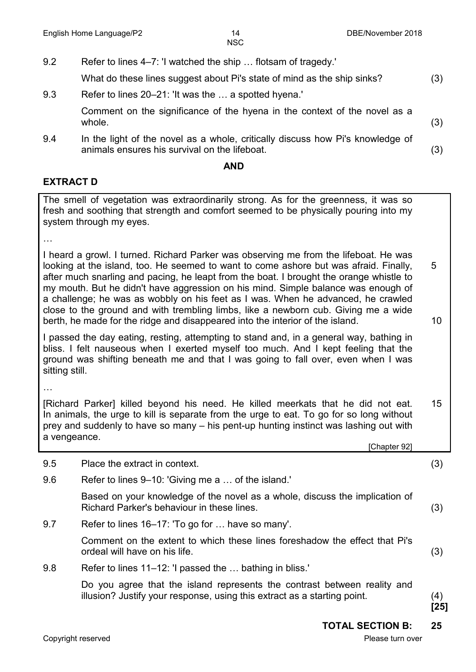9.2 Refer to lines 4–7: 'I watched the ship … flotsam of tragedy.'

Copyright reserved **Please turn over the Copyright reserved** Please turn over What do these lines suggest about Pi's state of mind as the ship sinks? (3) 9.3 Refer to lines 20–21: 'It was the … a spotted hyena.' Comment on the significance of the hyena in the context of the novel as a whole.  $(3)$ 9.4 In the light of the novel as a whole, critically discuss how Pi's knowledge of animals ensures his survival on the lifeboat. (3) **AND EXTRACT D** The smell of vegetation was extraordinarily strong. As for the greenness, it was so fresh and soothing that strength and comfort seemed to be physically pouring into my system through my eyes. … I heard a growl. I turned. Richard Parker was observing me from the lifeboat. He was looking at the island, too. He seemed to want to come ashore but was afraid. Finally, after much snarling and pacing, he leapt from the boat. I brought the orange whistle to my mouth. But he didn't have aggression on his mind. Simple balance was enough of a challenge; he was as wobbly on his feet as I was. When he advanced, he crawled close to the ground and with trembling limbs, like a newborn cub. Giving me a wide berth, he made for the ridge and disappeared into the interior of the island. I passed the day eating, resting, attempting to stand and, in a general way, bathing in bliss. I felt nauseous when I exerted myself too much. And I kept feeling that the ground was shifting beneath me and that I was going to fall over, even when I was sitting still. … [Richard Parker] killed beyond his need. He killed meerkats that he did not eat. In animals, the urge to kill is separate from the urge to eat. To go for so long without prey and suddenly to have so many – his pent-up hunting instinct was lashing out with a vengeance. [Chapter 92] 5 10 15 9.5 Place the extract in context. (3) 9.6 Refer to lines 9–10: 'Giving me a … of the island.' Based on your knowledge of the novel as a whole, discuss the implication of Richard Parker's behaviour in these lines. (3) 9.7 Refer to lines 16–17: 'To go for … have so many'. Comment on the extent to which these lines foreshadow the effect that Pi's ordeal will have on his life. (3) 9.8 Refer to lines 11–12: 'I passed the ... bathing in bliss.' Do you agree that the island represents the contrast between reality and illusion? Justify your response, using this extract as a starting point. (4) **[25] TOTAL SECTION B: 25**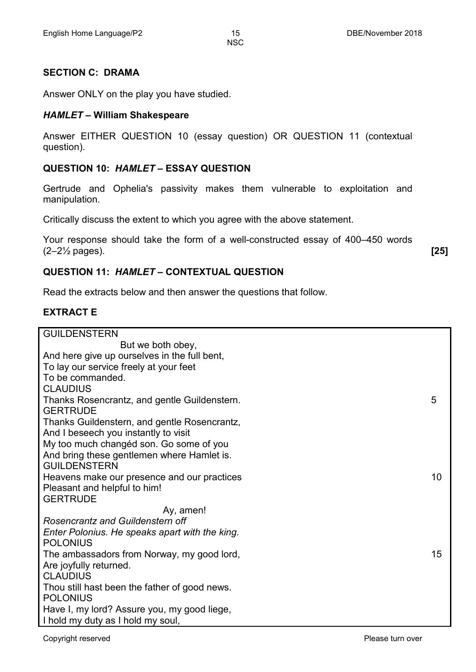#### **SECTION C: DRAMA**

Answer ONLY on the play you have studied.

#### *HAMLET* **– William Shakespeare**

Answer EITHER QUESTION 10 (essay question) OR QUESTION 11 (contextual question).

#### **QUESTION 10:** *HAMLET* **– ESSAY QUESTION**

Gertrude and Ophelia's passivity makes them vulnerable to exploitation and manipulation.

Critically discuss the extent to which you agree with the above statement.

Your response should take the form of a well-constructed essay of 400–450 words (2–2½ pages). **[25]**

#### **QUESTION 11:** *HAMLET* **– CONTEXTUAL QUESTION**

Read the extracts below and then answer the questions that follow.

#### **EXTRACT E**

| <b>GUILDENSTERN</b>                            |    |
|------------------------------------------------|----|
| But we both obey,                              |    |
| And here give up ourselves in the full bent,   |    |
| To lay our service freely at your feet         |    |
| To be commanded.                               |    |
| <b>CLAUDIUS</b>                                |    |
| Thanks Rosencrantz, and gentle Guildenstern.   | 5  |
| <b>GERTRUDE</b>                                |    |
| Thanks Guildenstern, and gentle Rosencrantz,   |    |
| And I beseech you instantly to visit           |    |
| My too much changéd son. Go some of you        |    |
| And bring these gentlemen where Hamlet is.     |    |
| <b>GUILDENSTERN</b>                            |    |
| Heavens make our presence and our practices    | 10 |
| Pleasant and helpful to him!                   |    |
| <b>GERTRUDE</b>                                |    |
| Ay, amen!                                      |    |
| Rosencrantz and Guildenstern off               |    |
| Enter Polonius. He speaks apart with the king. |    |
| <b>POLONIUS</b>                                |    |
| The ambassadors from Norway, my good lord,     | 15 |
| Are joyfully returned.                         |    |
| <b>CLAUDIUS</b>                                |    |
| Thou still hast been the father of good news.  |    |
| <b>POLONIUS</b>                                |    |
| Have I, my lord? Assure you, my good liege,    |    |
| I hold my duty as I hold my soul,              |    |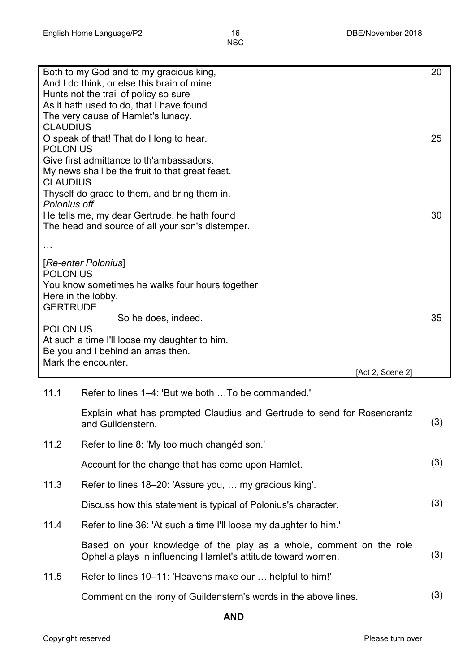|                                    | Both to my God and to my gracious king,<br>And I do think, or else this brain of mine<br>Hunts not the trail of policy so sure<br>As it hath used to do, that I have found<br>The very cause of Hamlet's lunacy. | 20  |
|------------------------------------|------------------------------------------------------------------------------------------------------------------------------------------------------------------------------------------------------------------|-----|
| <b>CLAUDIUS</b><br><b>POLONIUS</b> | O speak of that! That do I long to hear.                                                                                                                                                                         | 25  |
| <b>CLAUDIUS</b>                    | Give first admittance to th'ambassadors.<br>My news shall be the fruit to that great feast.                                                                                                                      |     |
| Polonius off                       | Thyself do grace to them, and bring them in.                                                                                                                                                                     |     |
|                                    | He tells me, my dear Gertrude, he hath found<br>The head and source of all your son's distemper.                                                                                                                 | 30  |
|                                    |                                                                                                                                                                                                                  |     |
| <b>POLONIUS</b>                    | [Re-enter Polonius]<br>You know sometimes he walks four hours together<br>Here in the lobby.                                                                                                                     |     |
| <b>GERTRUDE</b>                    |                                                                                                                                                                                                                  |     |
| <b>POLONIUS</b>                    | So he does, indeed.                                                                                                                                                                                              | 35  |
|                                    | At such a time I'll loose my daughter to him.                                                                                                                                                                    |     |
|                                    | Be you and I behind an arras then.<br>Mark the encounter.                                                                                                                                                        |     |
| 11.1                               | [Act 2, Scene 2]<br>Refer to lines 1–4: 'But we both  To be commanded.'                                                                                                                                          |     |
|                                    | Explain what has prompted Claudius and Gertrude to send for Rosencrantz<br>and Guildenstern.                                                                                                                     | (3) |
| 11.2                               | Refer to line 8: 'My too much changed son.'                                                                                                                                                                      |     |
|                                    | Account for the change that has come upon Hamlet.                                                                                                                                                                | (3) |
| 11.3                               | Refer to lines 18–20: 'Assure you,  my gracious king'.                                                                                                                                                           |     |
|                                    | Discuss how this statement is typical of Polonius's character.                                                                                                                                                   | (3) |
| 11.4                               | Refer to line 36: 'At such a time I'll loose my daughter to him.'                                                                                                                                                |     |
|                                    | Based on your knowledge of the play as a whole, comment on the role<br>Ophelia plays in influencing Hamlet's attitude toward women.                                                                              | (3) |

Comment on the irony of Guildenstern's words in the above lines. (3)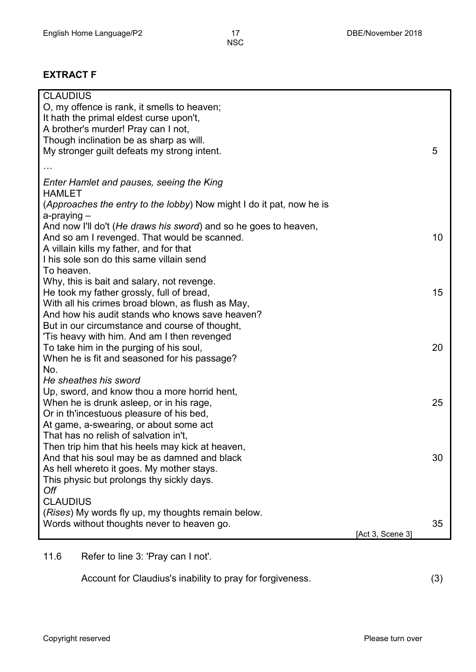#### **EXTRACT F**

| <b>CLAUDIUS</b>                                                      |                  |    |
|----------------------------------------------------------------------|------------------|----|
| O, my offence is rank, it smells to heaven;                          |                  |    |
| It hath the primal eldest curse upon't,                              |                  |    |
| A brother's murder! Pray can I not,                                  |                  |    |
| Though inclination be as sharp as will.                              |                  |    |
| My stronger guilt defeats my strong intent.                          |                  | 5  |
|                                                                      |                  |    |
| Enter Hamlet and pauses, seeing the King                             |                  |    |
| <b>HAMLET</b>                                                        |                  |    |
| (Approaches the entry to the lobby) Now might I do it pat, now he is |                  |    |
| $a$ -praying $-$                                                     |                  |    |
| And now I'll do't (He draws his sword) and so he goes to heaven,     |                  |    |
| And so am I revenged. That would be scanned.                         |                  | 10 |
| A villain kills my father, and for that                              |                  |    |
| I his sole son do this same villain send                             |                  |    |
| To heaven.                                                           |                  |    |
| Why, this is bait and salary, not revenge.                           |                  |    |
| He took my father grossly, full of bread,                            |                  | 15 |
| With all his crimes broad blown, as flush as May,                    |                  |    |
| And how his audit stands who knows save heaven?                      |                  |    |
| But in our circumstance and course of thought,                       |                  |    |
| 'Tis heavy with him. And am I then revenged                          |                  |    |
| To take him in the purging of his soul,                              |                  | 20 |
| When he is fit and seasoned for his passage?                         |                  |    |
| No.                                                                  |                  |    |
| He sheathes his sword                                                |                  |    |
| Up, sword, and know thou a more horrid hent,                         |                  |    |
| When he is drunk asleep, or in his rage,                             |                  | 25 |
| Or in th'incestuous pleasure of his bed,                             |                  |    |
| At game, a-swearing, or about some act                               |                  |    |
| That has no relish of salvation in't,                                |                  |    |
| Then trip him that his heels may kick at heaven,                     |                  |    |
| And that his soul may be as damned and black                         |                  | 30 |
| As hell whereto it goes. My mother stays.                            |                  |    |
| This physic but prolongs thy sickly days.                            |                  |    |
| Off                                                                  |                  |    |
| <b>CLAUDIUS</b>                                                      |                  |    |
| (Rises) My words fly up, my thoughts remain below.                   |                  |    |
| Words without thoughts never to heaven go.                           |                  | 35 |
|                                                                      | [Act 3, Scene 3] |    |

11.6 Refer to line 3: 'Pray can I not'.

Account for Claudius's inability to pray for forgiveness. (3)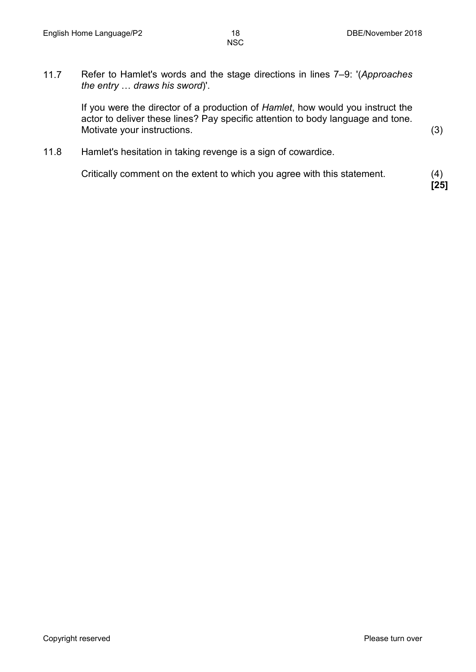11.7 Refer to Hamlet's words and the stage directions in lines 7–9: '(*Approaches the entry* … *draws his sword*)'.

> If you were the director of a production of *Hamlet*, how would you instruct the actor to deliver these lines? Pay specific attention to body language and tone. Motivate your instructions. (3)

11.8 Hamlet's hesitation in taking revenge is a sign of cowardice.

Critically comment on the extent to which you agree with this statement. (4)

**[25]**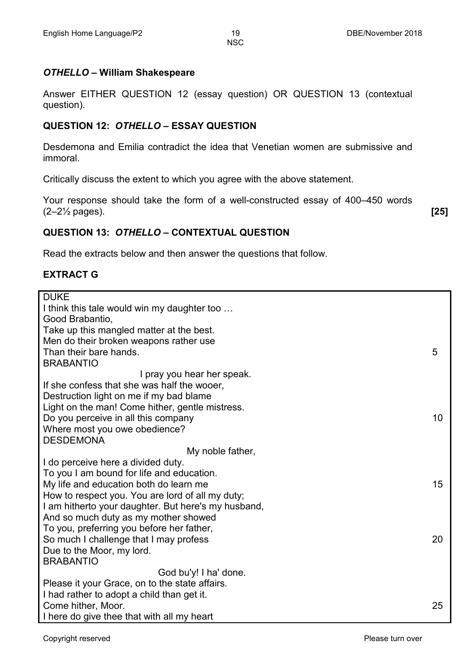#### *OTHELLO* **– William Shakespeare**

Answer EITHER QUESTION 12 (essay question) OR QUESTION 13 (contextual question).

#### **QUESTION 12:** *OTHELLO* **– ESSAY QUESTION**

Desdemona and Emilia contradict the idea that Venetian women are submissive and immoral.

Critically discuss the extent to which you agree with the above statement.

Your response should take the form of a well-constructed essay of 400–450 words (2–2½ pages). **[25]**

#### **QUESTION 13:** *OTHELLO* **– CONTEXTUAL QUESTION**

Read the extracts below and then answer the questions that follow.

#### **EXTRACT G**

| <b>DUKE</b>                                         |    |
|-----------------------------------------------------|----|
| I think this tale would win my daughter too         |    |
| Good Brabantio,                                     |    |
| Take up this mangled matter at the best.            |    |
| Men do their broken weapons rather use              |    |
| Than their bare hands.                              | 5  |
| <b>BRABANTIO</b>                                    |    |
| I pray you hear her speak.                          |    |
| If she confess that she was half the wooer,         |    |
| Destruction light on me if my bad blame             |    |
| Light on the man! Come hither, gentle mistress.     |    |
| Do you perceive in all this company                 | 10 |
| Where most you owe obedience?                       |    |
| <b>DESDEMONA</b>                                    |    |
| My noble father,                                    |    |
| I do perceive here a divided duty.                  |    |
| To you I am bound for life and education.           |    |
| My life and education both do learn me              | 15 |
| How to respect you. You are lord of all my duty;    |    |
| I am hitherto your daughter. But here's my husband, |    |
| And so much duty as my mother showed                |    |
| To you, preferring you before her father,           |    |
| So much I challenge that I may profess              | 20 |
| Due to the Moor, my lord.                           |    |
| <b>BRABANTIO</b>                                    |    |
| God bu'y! I ha' done.                               |    |
| Please it your Grace, on to the state affairs.      |    |
| I had rather to adopt a child than get it.          |    |
| Come hither, Moor.                                  | 25 |
| I here do give thee that with all my heart          |    |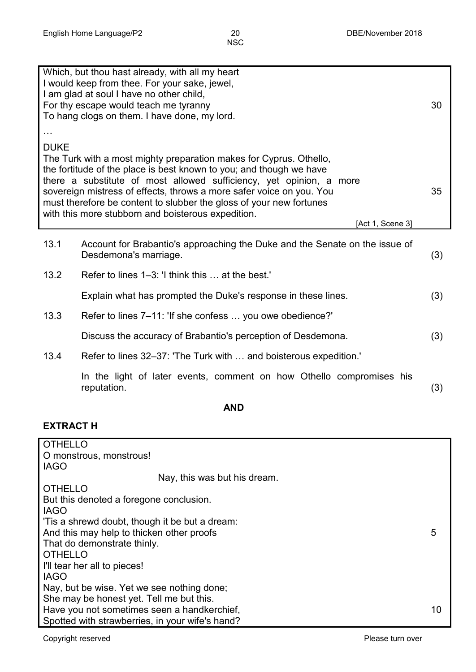|             | Which, but thou hast already, with all my heart<br>I would keep from thee. For your sake, jewel,<br>I am glad at soul I have no other child,<br>For thy escape would teach me tyranny<br>To hang clogs on them. I have done, my lord.                                                                                                                                                                                                     | 30  |
|-------------|-------------------------------------------------------------------------------------------------------------------------------------------------------------------------------------------------------------------------------------------------------------------------------------------------------------------------------------------------------------------------------------------------------------------------------------------|-----|
|             |                                                                                                                                                                                                                                                                                                                                                                                                                                           |     |
| <b>DUKE</b> | The Turk with a most mighty preparation makes for Cyprus. Othello,<br>the fortitude of the place is best known to you; and though we have<br>there a substitute of most allowed sufficiency, yet opinion, a more<br>sovereign mistress of effects, throws a more safer voice on you. You<br>must therefore be content to slubber the gloss of your new fortunes<br>with this more stubborn and boisterous expedition.<br>[Act 1, Scene 3] | 35  |
| 13.1        | Account for Brabantio's approaching the Duke and the Senate on the issue of<br>Desdemona's marriage.                                                                                                                                                                                                                                                                                                                                      | (3) |
| 13.2        | Refer to lines 1–3: 'I think this  at the best.'                                                                                                                                                                                                                                                                                                                                                                                          |     |
|             | Explain what has prompted the Duke's response in these lines.                                                                                                                                                                                                                                                                                                                                                                             | (3) |
| 13.3        | Refer to lines 7–11: 'If she confess  you owe obedience?'                                                                                                                                                                                                                                                                                                                                                                                 |     |
|             | Discuss the accuracy of Brabantio's perception of Desdemona.                                                                                                                                                                                                                                                                                                                                                                              | (3) |
| 13.4        | Refer to lines 32–37: 'The Turk with  and boisterous expedition.'                                                                                                                                                                                                                                                                                                                                                                         |     |
|             | In the light of later events, comment on how Othello compromises his<br>reputation.                                                                                                                                                                                                                                                                                                                                                       | (3) |

**AND**

#### **EXTRACT H**

| <b>OTHELLO</b>                                  |    |
|-------------------------------------------------|----|
| O monstrous, monstrous!                         |    |
| <b>IAGO</b>                                     |    |
| Nay, this was but his dream.                    |    |
| <b>OTHELLO</b>                                  |    |
| But this denoted a foregone conclusion.         |    |
| <b>IAGO</b>                                     |    |
| 'Tis a shrewd doubt, though it be but a dream:  |    |
| And this may help to thicken other proofs       | 5  |
| That do demonstrate thinly.                     |    |
| <b>OTHELLO</b>                                  |    |
| I'll tear her all to pieces!                    |    |
| <b>IAGO</b>                                     |    |
| Nay, but be wise. Yet we see nothing done;      |    |
| She may be honest yet. Tell me but this.        |    |
| Have you not sometimes seen a handkerchief,     | 10 |
| Spotted with strawberries, in your wife's hand? |    |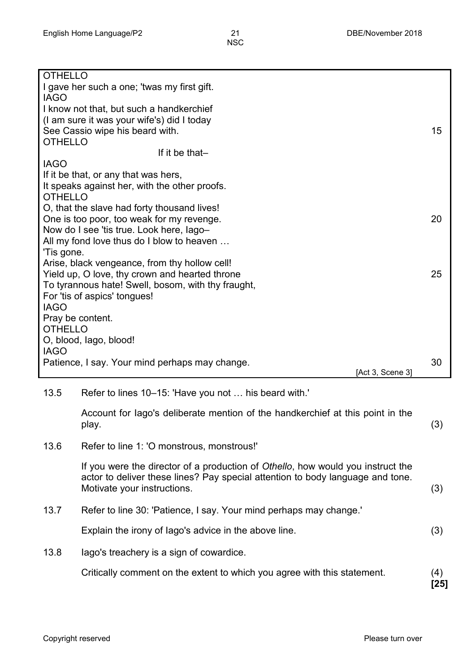| <b>OTHELLO</b>                                |                                                                                 |               |
|-----------------------------------------------|---------------------------------------------------------------------------------|---------------|
|                                               | I gave her such a one; 'twas my first gift.                                     |               |
| <b>IAGO</b>                                   | I know not that, but such a handkerchief                                        |               |
|                                               | (I am sure it was your wife's) did I today                                      |               |
|                                               | See Cassio wipe his beard with.                                                 | 15            |
| <b>OTHELLO</b>                                |                                                                                 |               |
| <b>IAGO</b>                                   | If it be that-                                                                  |               |
|                                               | If it be that, or any that was hers,                                            |               |
| It speaks against her, with the other proofs. |                                                                                 |               |
| <b>OTHELLO</b>                                |                                                                                 |               |
|                                               | O, that the slave had forty thousand lives!                                     |               |
|                                               | One is too poor, too weak for my revenge.                                       | 20            |
|                                               | Now do I see 'tis true. Look here, lago-                                        |               |
| 'Tis gone.                                    | All my fond love thus do I blow to heaven                                       |               |
|                                               | Arise, black vengeance, from thy hollow cell!                                   |               |
|                                               | Yield up, O love, thy crown and hearted throne                                  | 25            |
|                                               | To tyrannous hate! Swell, bosom, with thy fraught,                              |               |
|                                               | For 'tis of aspics' tongues!                                                    |               |
| <b>IAGO</b>                                   |                                                                                 |               |
|                                               | Pray be content.                                                                |               |
| <b>OTHELLO</b>                                | O, blood, lago, blood!                                                          |               |
| <b>IAGO</b>                                   |                                                                                 |               |
|                                               |                                                                                 |               |
|                                               | Patience, I say. Your mind perhaps may change.                                  | 30            |
|                                               | [Act 3, Scene 3]                                                                |               |
| 13.5                                          | Refer to lines 10–15: 'Have you not  his beard with.'                           |               |
|                                               |                                                                                 |               |
|                                               | Account for lago's deliberate mention of the handkerchief at this point in the  |               |
|                                               | play.                                                                           | (3)           |
| 13.6                                          | Refer to line 1: 'O monstrous, monstrous!'                                      |               |
|                                               | If you were the director of a production of Othello, how would you instruct the |               |
|                                               | actor to deliver these lines? Pay special attention to body language and tone.  |               |
|                                               | Motivate your instructions.                                                     | (3)           |
| 13.7                                          | Refer to line 30: 'Patience, I say. Your mind perhaps may change.'              |               |
|                                               | Explain the irony of lago's advice in the above line.                           | (3)           |
| 13.8                                          | lago's treachery is a sign of cowardice.                                        |               |
|                                               | Critically comment on the extent to which you agree with this statement.        | (4)<br>$[25]$ |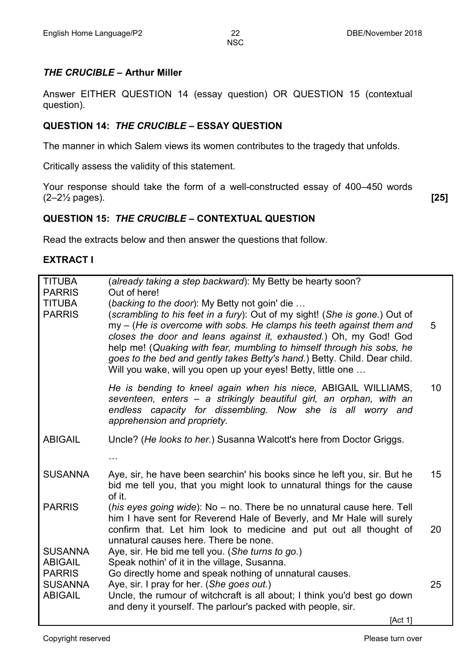#### *THE CRUCIBLE* **– Arthur Miller**

Answer EITHER QUESTION 14 (essay question) OR QUESTION 15 (contextual question).

#### **QUESTION 14:** *THE CRUCIBLE* **– ESSAY QUESTION**

The manner in which Salem views its women contributes to the tragedy that unfolds.

Critically assess the validity of this statement.

Your response should take the form of a well-constructed essay of 400–450 words (2–2½ pages). **[25]**

#### **QUESTION 15:** *THE CRUCIBLE* **– CONTEXTUAL QUESTION**

Read the extracts below and then answer the questions that follow.

#### **EXTRACT I**

| <b>TITUBA</b><br><b>PARRIS</b><br><b>TITUBA</b><br><b>PARRIS</b> | (already taking a step backward): My Betty be hearty soon?<br>Out of here!<br>(backing to the door): My Betty not goin' die<br>(scrambling to his feet in a fury): Out of my sight! (She is gone.) Out of<br>my - (He is overcome with sobs. He clamps his teeth against them and<br>closes the door and leans against it, exhausted.) Oh, my God! God<br>help me! (Quaking with fear, mumbling to himself through his sobs, he<br>goes to the bed and gently takes Betty's hand.) Betty. Child. Dear child.<br>Will you wake, will you open up your eyes! Betty, little one | 5  |
|------------------------------------------------------------------|------------------------------------------------------------------------------------------------------------------------------------------------------------------------------------------------------------------------------------------------------------------------------------------------------------------------------------------------------------------------------------------------------------------------------------------------------------------------------------------------------------------------------------------------------------------------------|----|
|                                                                  | He is bending to kneel again when his niece, ABIGAIL WILLIAMS,<br>seventeen, enters – a strikingly beautiful girl, an orphan, with an<br>endless capacity for dissembling. Now she is all worry and<br>apprehension and propriety.                                                                                                                                                                                                                                                                                                                                           | 10 |
| <b>ABIGAIL</b>                                                   | Uncle? (He looks to her.) Susanna Walcott's here from Doctor Griggs.                                                                                                                                                                                                                                                                                                                                                                                                                                                                                                         |    |
|                                                                  | $\cdots$                                                                                                                                                                                                                                                                                                                                                                                                                                                                                                                                                                     |    |
| <b>SUSANNA</b>                                                   | Aye, sir, he have been searchin' his books since he left you, sir. But he<br>bid me tell you, that you might look to unnatural things for the cause<br>of it.                                                                                                                                                                                                                                                                                                                                                                                                                | 15 |
| <b>PARRIS</b>                                                    | (his eyes going wide): No – no. There be no unnatural cause here. Tell<br>him I have sent for Reverend Hale of Beverly, and Mr Hale will surely<br>confirm that. Let him look to medicine and put out all thought of<br>unnatural causes here. There be none.                                                                                                                                                                                                                                                                                                                | 20 |
| <b>SUSANNA</b><br><b>ABIGAIL</b>                                 | Aye, sir. He bid me tell you. (She turns to go.)<br>Speak nothin' of it in the village, Susanna.                                                                                                                                                                                                                                                                                                                                                                                                                                                                             |    |
| <b>PARRIS</b><br><b>SUSANNA</b><br><b>ABIGAIL</b>                | Go directly home and speak nothing of unnatural causes.<br>Aye, sir. I pray for her. (She goes out.)<br>Uncle, the rumour of witchcraft is all about; I think you'd best go down<br>and deny it yourself. The parlour's packed with people, sir.                                                                                                                                                                                                                                                                                                                             | 25 |
|                                                                  | [Act 1]                                                                                                                                                                                                                                                                                                                                                                                                                                                                                                                                                                      |    |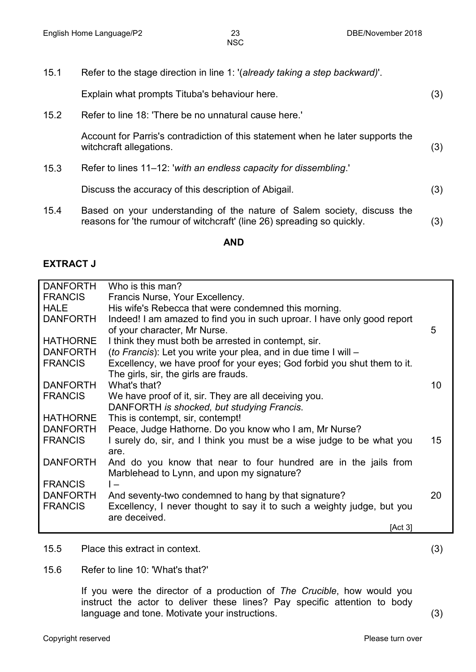15.1 Refer to the stage direction in line 1: '(*already taking a step backward)*'.

| Explain what prompts Tituba's behaviour here. |  |
|-----------------------------------------------|--|
|                                               |  |

15.2 Refer to line 18: 'There be no unnatural cause here.'

Account for Parris's contradiction of this statement when he later supports the witchcraft allegations. (3)

15.3 Refer to lines 11–12: '*with an endless capacity for dissembling*.'

Discuss the accuracy of this description of Abigail. (3)

15.4 Based on your understanding of the nature of Salem society, discuss the reasons for 'the rumour of witchcraft' (line 26) spreading so quickly. (3)

#### **AND**

#### **EXTRACT J**

| <b>DANFORTH</b> | Who is this man?                                                         |    |
|-----------------|--------------------------------------------------------------------------|----|
| <b>FRANCIS</b>  | Francis Nurse, Your Excellency.                                          |    |
| <b>HALE</b>     | His wife's Rebecca that were condemned this morning.                     |    |
| <b>DANFORTH</b> | Indeed! I am amazed to find you in such uproar. I have only good report  |    |
|                 | of your character, Mr Nurse.                                             | 5  |
| <b>HATHORNE</b> | I think they must both be arrested in contempt, sir.                     |    |
| <b>DANFORTH</b> | (to Francis): Let you write your plea, and in due time I will -          |    |
| <b>FRANCIS</b>  | Excellency, we have proof for your eyes; God forbid you shut them to it. |    |
|                 | The girls, sir, the girls are frauds.                                    |    |
| <b>DANFORTH</b> | What's that?                                                             | 10 |
| <b>FRANCIS</b>  | We have proof of it, sir. They are all deceiving you.                    |    |
|                 | DANFORTH is shocked, but studying Francis.                               |    |
| <b>HATHORNE</b> | This is contempt, sir, contempt!                                         |    |
| <b>DANFORTH</b> | Peace, Judge Hathorne. Do you know who I am, Mr Nurse?                   |    |
| <b>FRANCIS</b>  | I surely do, sir, and I think you must be a wise judge to be what you    | 15 |
|                 | are.                                                                     |    |
| <b>DANFORTH</b> | And do you know that near to four hundred are in the jails from          |    |
|                 | Marblehead to Lynn, and upon my signature?                               |    |
| <b>FRANCIS</b>  | $\mathsf{I}$                                                             |    |
| <b>DANFORTH</b> | And seventy-two condemned to hang by that signature?                     | 20 |
| <b>FRANCIS</b>  | Excellency, I never thought to say it to such a weighty judge, but you   |    |
|                 | are deceived.                                                            |    |
|                 | [Act 3]                                                                  |    |

15.5 Place this extract in context. (3)

15.6 Refer to line 10: 'What's that?'

If you were the director of a production of *The Crucible*, how would you instruct the actor to deliver these lines? Pay specific attention to body language and tone. Motivate your instructions. (3)